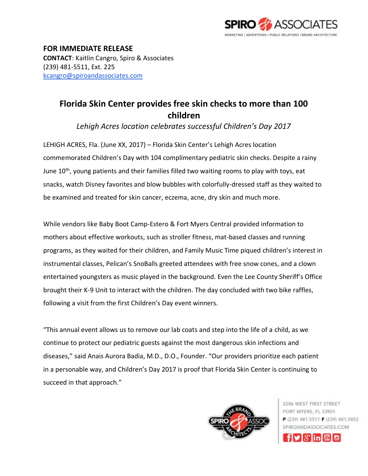

**FOR IMMEDIATE RELEASE CONTACT**: Kaitlin Cangro, Spiro & Associates (239) 481-5511, Ext. 225 [kcangro@spiroandassociates.com](mailto:kcangro@spiroandassociates.com)

## **Florida Skin Center provides free skin checks to more than 100 children**

*Lehigh Acres location celebrates successful Children's Day 2017*

LEHIGH ACRES, Fla. (June XX, 2017) – Florida Skin Center's Lehigh Acres location commemorated Children's Day with 104 complimentary pediatric skin checks. Despite a rainy June 10<sup>th</sup>, young patients and their families filled two waiting rooms to play with toys, eat snacks, watch Disney favorites and blow bubbles with colorfully-dressed staff as they waited to be examined and treated for skin cancer, eczema, acne, dry skin and much more.

While vendors like Baby Boot Camp-Estero & Fort Myers Central provided information to mothers about effective workouts, such as stroller fitness, mat-based classes and running programs, as they waited for their children, and Family Music Time piqued children's interest in instrumental classes, Pelican's SnoBalls greeted attendees with free snow cones, and a clown entertained youngsters as music played in the background. Even the Lee County Sheriff's Office brought their K-9 Unit to interact with the children. The day concluded with two bike raffles, following a visit from the first Children's Day event winners.

"This annual event allows us to remove our lab coats and step into the life of a child, as we continue to protect our pediatric guests against the most dangerous skin infections and diseases," said Anais Aurora Badia, M.D., D.O., Founder. "Our providers prioritize each patient in a personable way, and Children's Day 2017 is proof that Florida Skin Center is continuing to succeed in that approach."



2286 WEST FIRST STREET FORT MYERS, FL 33901 P (239) 481.5511 F (239) 481.5852 SPIROANDASSOCIATES COM